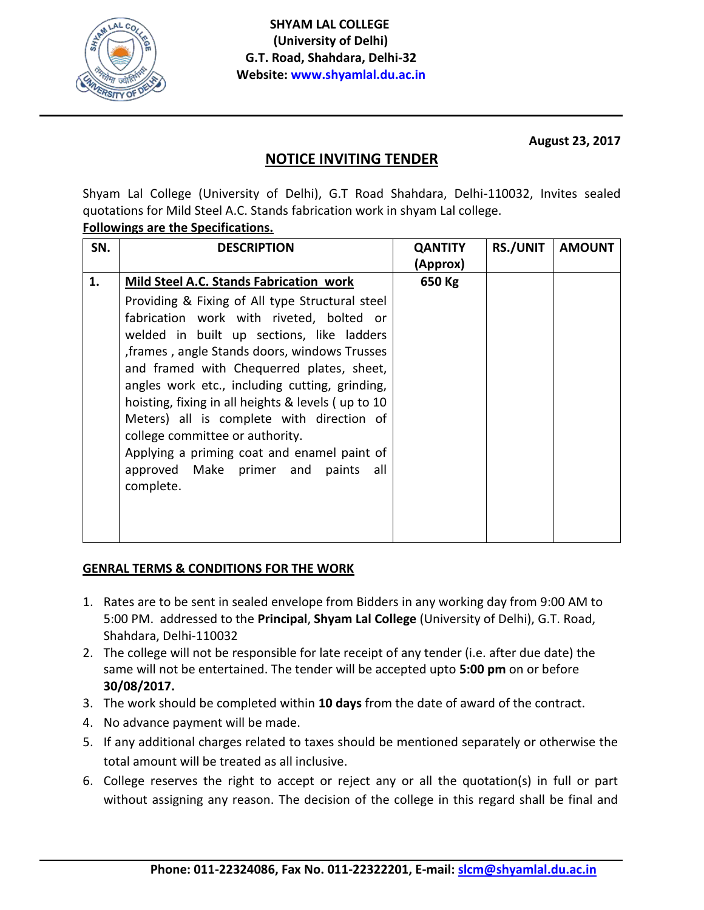

**August 23, 2017**

## **NOTICE INVITING TENDER**

Shyam Lal College (University of Delhi), G.T Road Shahdara, Delhi-110032, Invites sealed quotations for Mild Steel A.C. Stands fabrication work in shyam Lal college.

## **Followings are the Specifications.**

| SN. | <b>DESCRIPTION</b>                                                                                                                                                                                                                                                                                                                                                                                                                                                                                                                   | <b>QANTITY</b> | <b>RS./UNIT</b> | <b>AMOUNT</b> |
|-----|--------------------------------------------------------------------------------------------------------------------------------------------------------------------------------------------------------------------------------------------------------------------------------------------------------------------------------------------------------------------------------------------------------------------------------------------------------------------------------------------------------------------------------------|----------------|-----------------|---------------|
|     |                                                                                                                                                                                                                                                                                                                                                                                                                                                                                                                                      | (Approx)       |                 |               |
| 1.  | Mild Steel A.C. Stands Fabrication work                                                                                                                                                                                                                                                                                                                                                                                                                                                                                              | 650 Kg         |                 |               |
|     | Providing & Fixing of All type Structural steel<br>fabrication work with riveted, bolted or<br>welded in built up sections, like ladders<br>, frames, angle Stands doors, windows Trusses<br>and framed with Chequerred plates, sheet,<br>angles work etc., including cutting, grinding,<br>hoisting, fixing in all heights & levels (up to 10<br>Meters) all is complete with direction of<br>college committee or authority.<br>Applying a priming coat and enamel paint of<br>approved Make primer and paints<br>all<br>complete. |                |                 |               |

## **GENRAL TERMS & CONDITIONS FOR THE WORK**

- 1. Rates are to be sent in sealed envelope from Bidders in any working day from 9:00 AM to 5:00 PM. addressed to the **Principal**, **Shyam Lal College** (University of Delhi), G.T. Road, Shahdara, Delhi-110032
- 2. The college will not be responsible for late receipt of any tender (i.e. after due date) the same will not be entertained. The tender will be accepted upto **5:00 pm** on or before **30/08/2017.**
- 3. The work should be completed within **10 days** from the date of award of the contract.
- 4. No advance payment will be made.
- 5. If any additional charges related to taxes should be mentioned separately or otherwise the total amount will be treated as all inclusive.
- 6. College reserves the right to accept or reject any or all the quotation(s) in full or part without assigning any reason. The decision of the college in this regard shall be final and